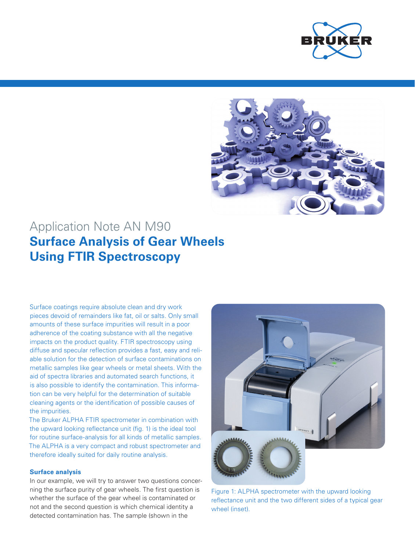



# Application Note AN M90 **Surface Analysis of Gear Wheels Using FTIR Spectroscopy**

Surface coatings require absolute clean and dry work pieces devoid of remainders like fat, oil or salts. Only small amounts of these surface impurities will result in a poor adherence of the coating substance with all the negative impacts on the product quality. FTIR spectroscopy using diffuse and specular reflection provides a fast, easy and reliable solution for the detection of surface contaminations on metallic samples like gear wheels or metal sheets. With the aid of spectra libraries and automated search functions, it is also possible to identify the contamination. This information can be very helpful for the determination of suitable cleaning agents or the identification of possible causes of the impurities.

The Bruker ALPHA FTIR spectrometer in combination with the upward looking reflectance unit (fig. 1) is the ideal tool for routine surface-analysis for all kinds of metallic samples. The ALPHA is a very compact and robust spectrometer and therefore ideally suited for daily routine analysis.

## **Surface analysis**

In our example, we will try to answer two questions concerning the surface purity of gear wheels. The first question is whether the surface of the gear wheel is contaminated or not and the second question is which chemical identity a detected contamination has. The sample (shown in the



Figure 1: ALPHA spectrometer with the upward looking reflectance unit and the two different sides of a typical gear wheel (inset).